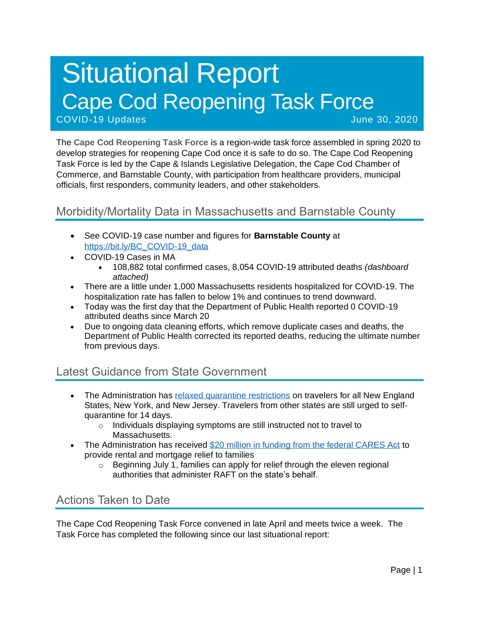# Situational Report Cape Cod Reopening Task Force COVID-19 Updates June 30, 2020

The **Cape Cod Reopening Task Force** is a region-wide task force assembled in spring 2020 to develop strategies for reopening Cape Cod once it is safe to do so. The Cape Cod Reopening Task Force is led by the Cape & Islands Legislative Delegation, the Cape Cod Chamber of Commerce, and Barnstable County, with participation from healthcare providers, municipal officials, first responders, community leaders, and other stakeholders.

## Morbidity/Mortality Data in Massachusetts and Barnstable County

- See COVID-19 case number and figures for **Barnstable County** at [https://bit.ly/BC\\_COVID-19\\_data](https://bit.ly/BC_COVID-19_data)
- COVID-19 Cases in MA
	- 108,882 total confirmed cases, 8,054 COVID-19 attributed deaths *(dashboard attached)*
- There are a little under 1,000 Massachusetts residents hospitalized for COVID-19. The hospitalization rate has fallen to below 1% and continues to trend downward.
- Today was the first day that the Department of Public Health reported 0 COVID-19 attributed deaths since March 20
- Due to ongoing data cleaning efforts, which remove duplicate cases and deaths, the Department of Public Health corrected its reported deaths, reducing the ultimate number from previous days.

## Latest Guidance from State Government

- The Administration has [relaxed quarantine restrictions](https://www.mass.gov/news/baker-polito-administration-announces-updated-travel-guidelines-to-support-covid-19-response) on travelers for all New England States, New York, and New Jersey. Travelers from other states are still urged to selfquarantine for 14 days.
	- o Individuals displaying symptoms are still instructed not to travel to Massachusetts.
- The Administration has received [\\$20 million in funding from the federal CARES Act](https://www.mass.gov/news/baker-polito-administration-announces-20-million-in-rental-and-mortgage-assistance-for) to provide rental and mortgage relief to families
	- $\circ$  Beginning July 1, families can apply for relief through the eleven regional authorities that administer RAFT on the state's behalf.

## Actions Taken to Date

The Cape Cod Reopening Task Force convened in late April and meets twice a week. The Task Force has completed the following since our last situational report: